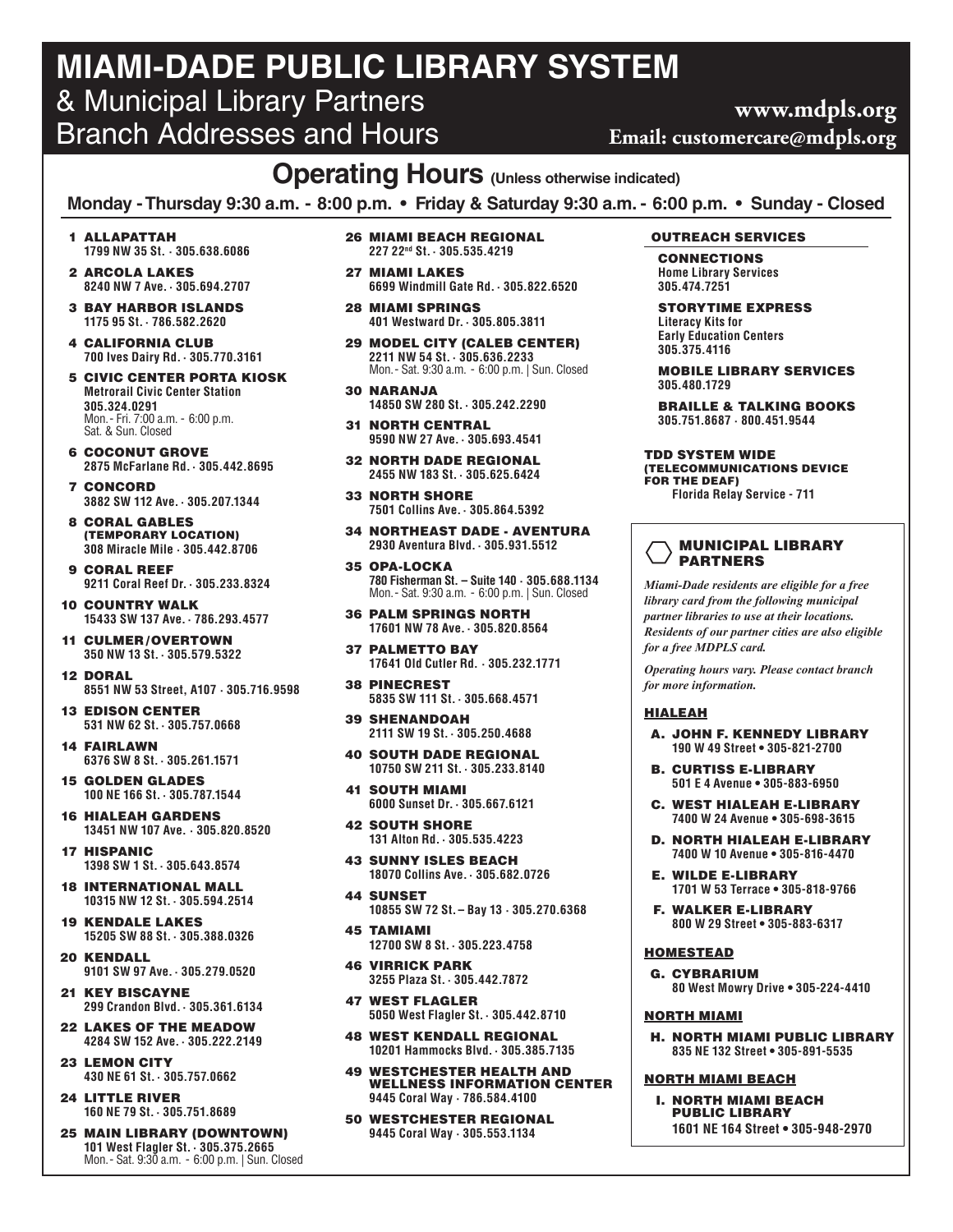## **MIAMI-DADE PUBLIC LIBRARY SYSTEM** & Municipal Library Partners Branch Addresses and Hours

### **Operating Hours (Unless otherwise indicated)**

**Monday - Thursday 9:30 a.m. - 8:00 p.m. • Friday & Saturday 9:30 a.m. - 6:00 p.m. • Sunday - Closed**

- 1 ALLAPATTAH **1799 NW 35 St. · 305.638.6086**
- 2 ARCOLA LAKES **8240 NW 7 Ave.· 305.694.2707**
- 3 BAY HARBOR ISLANDS **1175 95 St.· 786.582.2620**
- 4 CALIFORNIA CLUB **700 Ives Dairy Rd.· 305.770.3161**
- 5 CIVIC CENTER PORTA KIOSK **Metrorail Civic Center Station 305.324.0291** Mon.- Fri. 7:00 a.m. - 6:00 p.m. Sat. & Sun. Closed
- 6 COCONUT GROVE **2875 McFarlane Rd.· 305.442.8695**
- 7 CONCORD **3882 SW 112 Ave.· 305.207.1344**
- 8 CORAL GABLES (TEMPORARY LOCATION) **308 Miracle Mile · 305.442.8706**
- 9 CORAL REEF **9211 Coral Reef Dr.· 305.233.8324**
- 10 COUNTRY WALK **15433 SW 137 Ave.· 786.293.4577**
- 11 CULMER /OVERTOWN **350 NW 13 St.· 305.579.5322**
- 12 DORAL **8551 NW 53 Street, A107 · 305.716.9598**
- 13 EDISON CENTER **531 NW 62 St.· 305.757.0668**
- 14 FAIRLAWN **6376 SW 8 St.· 305.261.1571**
- 15 GOLDEN GLADES **100 NE 166 St.· 305.787.1544**
- 16 HIALEAH GARDENS **13451 NW 107 Ave. · 305.820.8520**
- 17 HISPANIC **1398 SW 1 St.· 305.643.8574**
- 18 INTERNATIONAL MALL **10315 NW 12 St.· 305.594.2514**
- 19 KENDALE LAKES **15205 SW 88 St.· 305.388.0326**
- 20 KENDALL **9101 SW 97 Ave.· 305.279.0520**
- 21 KEY BISCAYNE **299 Crandon Blvd.· 305.361.6134**
- 22 LAKES OF THE MEADOW **4284 SW 152 Ave.· 305.222.2149**
- 23 LEMON CITY **430 NE 61 St.· 305.757.0662**
- 24 LITTLE RIVER **160 NE 79 St.· 305.751.8689**
- 25 MAIN LIBRARY (DOWNTOWN) **101 West Flagler St.· 305.375.2665** Mon.- Sat. 9:30 a.m. - 6:00 p.m. | Sun. Closed
- 26 MIAMI BEACH REGIONAL **227 22nd St.· 305.535.4219**
- 27 MIAMI LAKES **6699 Windmill Gate Rd.· 305.822.6520**
- 28 MIAMI SPRINGS **401 Westward Dr.· 305.805.3811**
- 29 MODEL CITY (CALEB CENTER) **2211 NW 54 St.· 305.636.2233** Mon.- Sat. 9:30 a.m. - 6:00 p.m. | Sun. Closed
- 30 NARANJA **14850 SW 280 St.· 305.242.2290**
- 31 NORTH CENTRAL **9590 NW 27 Ave.· 305.693.4541**
- 32 NORTH DADE REGIONAL **2455 NW 183 St.· 305.625.6424**
- 33 NORTH SHORE **7501 Collins Ave.· 305.864.5392**
- 34 NORTHEAST DADE AVENTURA **2930 Aventura Blvd.· 305.931.5512**
- 35 OPA-LOCKA **780 Fisherman St. – Suite 140 · 305.688.1134** Mon.- Sat. 9:30 a.m. - 6:00 p.m. | Sun. Closed
- 36 PALM SPRINGS NORTH **17601 NW 78 Ave.· 305.820.8564**
- 37 PALMETTO BAY **17641 Old Cutler Rd. · 305.232.1771**
- 38 PINECREST **5835 SW 111 St.· 305.668.4571**
- 39 SHENANDOAH **2111 SW 19 St.· 305.250.4688**
- 40 SOUTH DADE REGIONAL **10750 SW 211 St.· 305.233.8140**
- 41 SOUTH MIAMI **6000 Sunset Dr.· 305.667.6121**
- 42 SOUTH SHORE **131 Alton Rd.· 305.535.4223**
- 43 SUNNY ISLES BEACH **18070 Collins Ave.· 305.682.0726**
- 44 SUNSET **10855 SW 72 St.– Bay 13 · 305.270.6368**
- 45 TAMIAMI **12700 SW 8 St.· 305.223.4758**
- 46 VIRRICK PARK **3255 Plaza St.· 305.442.7872**
- 47 WEST FLAGLER **5050 West Flagler St.· 305.442.8710**
- 48 WEST KENDALL REGIONAL **10201 Hammocks Blvd.· 305.385.7135**
- 49 WESTCHESTER HEALTH AND WELLNESS INFORMATION CENTER **9445 Coral Way · 786.584.4100**
- 50 WESTCHESTER REGIONAL **9445 Coral Way · 305.553.1134**

#### OUTREACH SERVICES

- CONNECTIONS **Home Library Services 305.474.7251**
- STORYTIME EXPRESS **Literacy Kits for Early Education Centers 305.375.4116**
- MOBILE LIBRARY SERVICES **305.480.1729**
- BRAILLE & TALKING BOOKS **305.751.8687 · 800.451.9544**
- TDD SYSTEM WIDE (TELECOMMUNICATIONS DEVICE FOR THE DEAF) **Florida Relay Service - 711**

#### MUNICIPAL LIBRARY PARTNERS

*Miami-Dade residents are eligible for a free library card from the following municipal partner libraries to use at their locations. Residents of our partner cities are also eligible for a free MDPLS card.*

*Operating hours vary. Please contact branch for more information.*

#### HIALEAH

- A. JOHN F. KENNEDY LIBRARY **190 W 49 Street • 305-821-2700**
- B. CURTISS E-LIBRARY **501 E 4 Avenue • 305-883-6950**
- C. WEST HIALEAH E-LIBRARY **7400 W 24 Avenue • 305-698-3615**
- D. NORTH HIALEAH E-LIBRARY **7400 W 10 Avenue • 305-816-4470**
- E. WILDE E-LIBRARY **1701 W 53 Terrace • 305-818-9766**
- F. WALKER E-LIBRARY **800 W 29 Street • 305-883-6317**

#### **HOMESTEAD**

G. CYBRARIUM **80 West Mowry Drive • 305-224-4410**

#### NORTH MIAMI

H. NORTH MIAMI PUBLIC LIBRARY **835 NE 132 Street • 305-891-5535**

#### NORTH MIAMI BEACH

I. NORTH MIAMI BEACH PUBLIC LIBRARY **1601 NE 164 Street • 305-948-2970**

### **www.mdpls.org Email: customercare@mdpls.org**